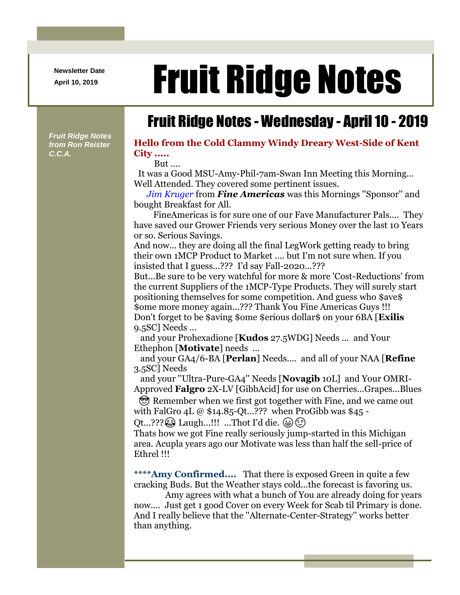**Newsletter Date**

## April 10, 2019 **Fruit Ridge Notes**

## Fruit Ridge Notes - Wednesday - April 10 - 2019

*Fruit Ridge Notes from Ron Reister C.C.A.*

## **Hello from the Cold Clammy Windy Dreary West-Side of Kent City .....**

But ....

It was a Good MSU-Amy-Phil-7am-Swan Inn Meeting this Morning... Well Attended. They covered some pertinent issues.

*Jim Kruger* from *Fine Americas* was this Mornings ''Sponsor'' and bought Breakfast for All.

FineAmericas is for sure one of our Fave Manufacturer Pals.... They have saved our Grower Friends very serious Money over the last 10 Years or so. Serious Savings.

And now... they are doing all the final LegWork getting ready to bring their own 1MCP Product to Market .... but I'm not sure when. If you insisted that I guess...??? I'd say Fall-2020...???

But...Be sure to be very watchful for more & more 'Cost-Reductions' from the current Suppliers of the 1MCP-Type Products. They will surely start positioning themselves for some competition. And guess who \$ave\$ \$ome more money again...??? Thank You Fine Americas Guys !!! Don't forget to be \$aving \$ome \$erious dollar\$ on your 6BA [**Exilis** 9.5SC] Needs ...

and your Prohexadione [**Kudos** 27.5WDG] Needs ... and Your Ethephon [**Motivate**] needs ...

and your GA4/6-BA [**Perlan**] Needs.... and all of your NAA [**Refine** 3.5SC] Needs

and your ''Ultra-Pure-GA4'' Needs [**Novagib** 10L] and Your OMRI-Approved **Falgro** 2X-LV [GibbAcid] for use on Cherries...Grapes...Blues

 Remember when we first got together with Fine, and we came out with FalGro 4L @ \$14.85-Qt...??? when ProGibb was \$45 -

Qt...???  $\circled{a}$  Laugh...!!! ...Thot I'd die.  $\circled{a}$   $\circled{c}$ 

Thats how we got Fine really seriously jump-started in this Michigan area. Acupla years ago our Motivate was less than half the sell-price of Ethrel !!!

**\*\*\*\*Amy Confirmed....** That there is exposed Green in quite a few cracking Buds. But the Weather stays cold...the forecast is favoring us.

Amy agrees with what a bunch of You are already doing for years now.... Just get 1 good Cover on every Week for Scab til Primary is done. And I really believe that the ''Alternate-Center-Strategy'' works better than anything.